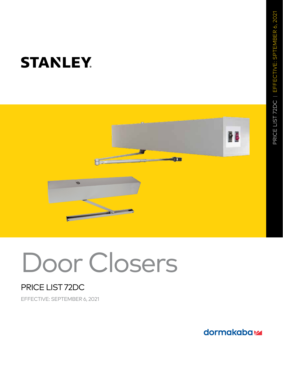

# Door Closers

### PRICE LIST 72DC

EFFECTIVE: SEPTEMBER 6, 2021

dormakabaz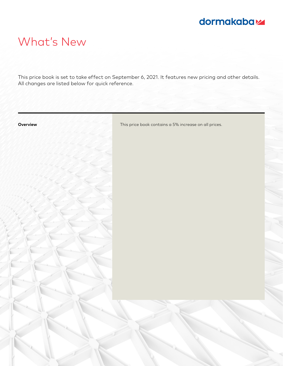### dormakabaz

## What's New

This price book is set to take effect on September 6, 2021. It features new pricing and other details. All changes are listed below for quick reference.

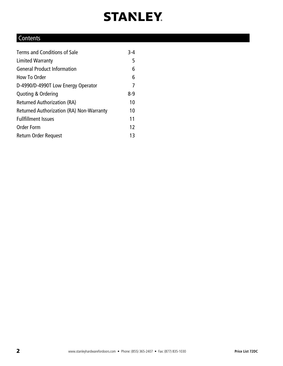### **Contents**

| Terms and Conditions of Sale             | $3 - 4$ |
|------------------------------------------|---------|
| Limited Warranty                         | 5       |
| <b>General Product Information</b>       | 6       |
| How To Order                             | 6       |
| D-4990/D-4990T Low Energy Operator       | 7       |
| Quoting & Ordering                       | $8-9$   |
| <b>Returned Authorization (RA)</b>       | 10      |
| Returned Authorization (RA) Non-Warranty | 10      |
| <b>Fullfillment Issues</b>               | 11      |
| <b>Order Form</b>                        | 12      |
| Return Order Request                     | 13      |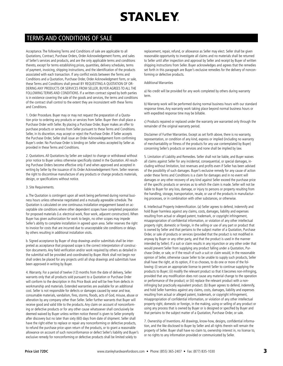### TERMS AND CONDITIONS OF SALE

Acceptance. The following Terms and Conditions of sale are applicable to all Quotations, Contract, Purchase Orders, Order Acknowledgement Forms, and sales of Seller's services and products, and are the only applicable terms and conditions thereto, except for terms establishing prices, quantities, delivery schedules, terms of payment, invoicing, shipping instructions, and the identification of the products associated with each transaction. If any conflict exists between the Terms and Conditions and a Quotation, Purchase Order, Order Acknowledgment form, or sale, these Terms and Conditions shall prevail BY REQUESTING A QUOTATION OF OR-DERING ANY PRODUCTS OR SERVICES FROM SELLER, BUYER AGREES TO ALL THE FOLLOWING TERMS AND CONDITIONS. If a written contract signed by both parties is in existence covering the sale of the goods and services, the terms and conditions of the contract shall control to the extent they are inconsistent with these Terms and Conditions.

1. Order Procedure. Buyer may or may not request the preparation of a Quotation prior to ordering any products or services from Seller. Buyer then shall place a Purchase Order with Seller. By placing a Purchase Order, Buyer makes an offer to purchase products or services from Seller pursuant to these Terms and Conditions. Seller, in its discretion, may accept or reject the Purchase Order. If Seller accepts the Purchase Order, Seller shall issue an Order Acknowledgement Form confirming Buyer's order. No Purchase Order is binding on Seller unless accepted by Seller as provided in these Terms and Conditions.

2. Quotations. All Quotations by Seller are subject to change or withdrawal without prior notice to Buyer unless otherwise specifically stated in the Quotation. All resulting Purchase Orders become effective only if and when approved and accepted in writing by Seller by the issuance of its Order Acknowledgement Form. Seller reserves the right to discontinue manufacture of any products or change products materials, design, or specifications without notice.

#### 3. Site Requirements.

a. The Quotation is contingent upon all work being performed during normal business hours unless otherwise negotiated and a mutually agreeable schedule. The Quotation is calculated on one continuous installation engagement based on acceptable site conditions where other dependent scopes have completed preparation for proposed materials (i.e. electrical work, floor work, adjacent construction). When Buyer has given authorization for work to begin, no other scopes may impede Seller's ability to complete installation in agreed upon area. Seller reserves the right to invoice for costs that are incurred due to unacceptable site conditions or delays by others resulting in additional installation visits.

b. Signed acceptance by Buyer of shop drawings and/or submittals shall be interpreted as acceptance that proposed scope is the correct interpretation of construction documents. Any field verification and/or work required by others as detailed in the submittal will be provided and coordinated by Buyer. Work shall not begin nor shall orders be placed for any projects until all shop drawings and submittals have been approved in writing by Buyer.

4. Warranty. For a period of twelve (12) months from the date of delivery, Seller warrants only that all products sold pursuant to a Quotation or Purchase Order will conform to the description in this Price Book and will be free from defects in workmanship and materials. Extended warranties are available for an additional cost. Seller is not responsible for defects or damages caused by wear and tear, consumable materials, vandalism, fires, storms, floods, acts of God, misuse, abuse or alteration by any company other than Seller. Seller further warrants that Buyer will receive good and valid title to the products. Any claim on account of nonconforming or defective products or for any other cause whatsoever shall conclusively be deemed waived by Buyer unless written notice thereof is given to Seller promptly after discovery but no later than sixty (60) days from date of shipment. Seller shall have the right either to replace or repair any nonconforming or defective products, to refund the purchase price upon return of the products, or to grant a reasonable allowance on account of such nonconformance or defect Seller's liability and Buyer's exclusive remedy for nonconforming or defective products shall be limited solely to

replacement, repair, refund, or allowance as Seller may elect. Seller shall be given reasonable opportunity to investigate all claims and no materials shall be returned to Seller until after inspection and approval by Seller and receipt by Buyer of written shipping instructions from Seller. Buyer acknowledges and agrees that the remedies set forth in this paragraph are Buyer's exclusive remedies for the delivery of nonconforming or defective products.

#### Additional Warranties

a) No credit will be provided for any work completed by others during warranty term.

b) Warranty work will be performed during normal business hours with our standard response times. Any warranty work taking place beyond normal business hours or with expedited response time may be billable.

c) Products repaired or replaced under the warranty are warranted only through the remainder of the original warranty period.

Disclaimer of Further Warranties. Except as set forth above, there is no warranty, representation, or condition of any kind, express or implied (including no warranty of merchantability or fitness of the products for any use contemplated by Buyer) concerning Seller's products or services and none shall be implied by law.

5. Limitation of Liability and Remedies. Seller shall not be liable, and Buyer waives all claims against Seller for any incidental, consequential, or special damages, including without limitation, lost revenues and profits even if Seller has been advised of the possibility of such damages. Buyer's exclusive remedy for any cause of action under these Terms and Conditions is a claim for damages and in no event will damages or any other recovery of any kind against Seller exceed the purchase price of the specific products or services as to which the claim is made. Seller will not be liable to Buyer for any loss, damage, or injury to persons or property resulting from the handling, storage, transportation, resale, or use of the products in manufacturing processes, or in combination with other substances, or otherwise.

6. Intellectual Property Indemnification. (a) Seller agrees to defend, indemnify and hold Buyer harmless against any claims, costs, damages, liability and expenses resulting from actual or alleged patent, trademark, or copyright infringement, misappropriation of confidential information, or violation of any other intellectual property right, domestic or foreign, in the selling or use of any part or product that is owned by Seller and that pertains to the subject matter of a Quotation, Purchase Order, or sale of products or services (provided that the product is not modified in anyway by Buyer or any other party, and that the product is used in the manner intended by Seller). If a suit or claim results in any injunction or any other order that would prevent Seller from supplying any product falling under a Quotation, Purchase Order, or sale, or if the result of such a suit or claim would, in the reasonable opinion of Seller, otherwise cause Seller to be unable to supply such products, Seller shall have the right, at its option, if it so chooses, to do one or more of the following: (i) secure an appropriate license to permit Seller to continue supplying the products to Buyer; (ii) modify the relevant product so that it becomes non-infringing, provided that any modification does not cause any material change to the operation or performance of the product; or (iii) replace the relevant product with a noninfringing but practically equivalent product. (b) Buyer agrees to defend, indemnify, and hold Seller harmless against any claims, costs, damages, liability and expenses resulting from actual or alleged patent, trademark, or copyright infringement, misappropriation of confidential information, or violation of any other intellectual property right, domestic or foreign, in the making, using or selling of any product or using any process that is owned by Buyer or is designed or specified by Buyer and that pertains to the subject matter of a Quotation, Purchase Order, or sale.

7. Ownership of Inventions. All drawings, know-how, designs, confidential information, and the like disclosed to Buyer by Seller and all rights therein will remain the property of Seller. Buyer shall have no claim to, ownership interest in, no license to, or no rights to any information provided or communicated by Seller.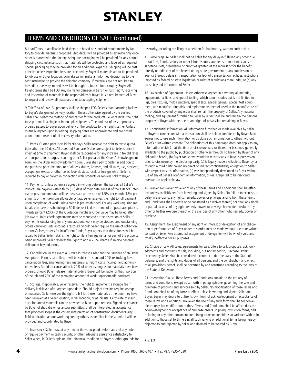### TERMS AND CONDITIONS OF SALE (continued)

8. Lead Times. If applicable, lead times are based on standard requirements by factory to provide materials proposed. Ship dates will be provided as estimate only once order is placed with the factory. Adequate packaging will be provided for any normal shipping circumstance such that materials will be protected and labeled as required. Special packaging may be provided for an additional expense. Shipping will be cost effective unless expedited fees are accepted by Buyer. If materials are to be provided to job site or Buyer location, dormakaba will make an informed decision as to the best instruction to provide the shipping company. If materials are not required to have direct delivery, materials will be brought to branch for pickup by Buyer. All freight terms shall be FOB. Any claims for damage in transit or lost freight, receiving, and inspection of materials is the responsibility of Buyer. It is a requirement of Buyer to inspect and review all materials prior to accepting shipment.

9. Title/Risk of Loss. All products shall be shipped FOB Seller's manufacturing facility to Buyer's designated delivery location. Unless otherwise agreed by the parties, Seller shall select the method of and carrier for the products. Seller reserves the right to ship items in a single or in multiple shipments. Title and risk of loss to products ordered passes to Buyer upon delivery of the products to the freight carrier. Unless mutually agreed upon in writing, shipping dates are approximate and are based upon prompt receipt of all necessary information.

10. Prices. Quoted price is valid for 90 days. Seller reserve the right to revise quotations after the 90 days. All accepted Purchase Orders are subject to Seller's price in effect at time of shipment. Buyer shall be responsible for any increase in freight rates or transportation charges occurring after Seller prepared the Order Acknowledgment Form. on the Order Acknowledgment Form. Buyer shall pay to Seller in addition to the purchase price the amount of all fees, duties, licenses, and all sales, use, privilege, occupation, excise, or other taxes, federal, state, local, or foreign which Seller is required to pay or collect in connection with products or services sold to Buyer.

11. Payments. Unless otherwise agreed in writing between the parties, all Seller's invoices are payable within thirty (30) days of their date. Time is of the essence. Interest on past due amounts will be assessed at the rate of 1.5% per month (18% per annum), or the maximum allowable by law. Seller reserves the right to full payment upon completion of work unless credit is pre-established. For any work requiring materials purchase or scheduling, a 50% deposit is due at time of proposal acceptance. Twenty percent (20%) of the Quotation, Purchase Order value may be billed after job award. Joint check agreements may be requested at the discretion of Seller. If payment is outstanding for any one account, work may be stopped and outstanding orders cancelled until account is restored. Should Seller require the use of collection, attorney's fees, or fees for insufficient funds, Buyer agrees that these funds will be repaid to Seller. Seller retains the right to file a lien against all or part of the property being improved. Seller reserves the right to add a 2.5% charge if invoice becomes delinquent beyond terms.

12. Cancellation. In the event a Buyer's Purchase Order and the issuance of an Order Acceptance Form is cancelled, it will be subject to standard 20% restocking fees, cancellation fees, engineering fees, materials & freight costs incurred, and administrative fees. Standard cancellation is 20% of order as long as no materials have been ordered. Should Buyer release material orders, Buyer will be liable for that portion of the job and 20% of the remaining amount of work unperformed/unordered.

13. Storage. If applicable, Seller reserves the right to implement a storage fee if delivery is delayed after agreed upon date. Should project timeline require storage of materials, Seller reserves the right to bill for those materials at the time they have been received at a Seller location, Buyer location, or at job site. Certificate of insurance for stored materials can be provided to Buyer upon request. Signed acceptance by Buyer of shop drawings and/or submittals shall be interpreted as acceptance that proposed scope is the correct interpretation of construction documents. Any field verification and/or work required by others as detailed in the submittal will be provided and coordinated by Buyer.

14. Insolvency. Seller may, at any time or times, suspend performance of any order or require payment in cash, security, or other adequate assurance satisfactory to Seller when, in Seller's opinion, the financial condition of Buyer or other grounds for insecurity, including the filing of a petition for bankruptcy, warrant such action.

15. Force Majeure. Seller shall not be liable for any delay in fulfilling any order due to (a) fires, floods, strikes, or other labor disputes, accidents to machinery, acts of sabotage, riots, precedence or priorities granted at the request or for the benefit, directly or indirectly, of the federal or any state government or any subdivision or agency thereof, delays in transportation or lack of transportation facilities, restrictions imposed by federal or state legislation or rules of regulations thereunder; or (b) any cause beyond the control of Seller.

16. Ownership of Equipment. Unless otherwise agreed in a writing, all material, equipment, facilities, and special tooling, which term includes but is not limited to jigs, dies, fixtures, molds, patterns, special taps, special gauges, special test equipment, and manufacturing aids and replacements thereof, used in the manufacture of the products covered by any order shall remain the property of Seller. Any material, tooling, and equipment furnished to Seller by Buyer shall be and remain the personal property of Buyer with the title to and right of possession remaining in Buyer.

17. Confidential Information. All information furnished or made available by Seller to Buyer in connection with a transaction shall be held in confidence by Buyer. Buyer agrees not to use such information or disclose such information to others without Seller's prior written consent. The obligations of this paragraph does not apply to any information which (a) at the time of disclosure was, or thereafter becomes, generally available to the public by publication or otherwise through no breach by Buyer of any obligation herein, (b) Buyer can show by written records was in Buyer's possession prior to disclosure by the disclosing party, (c) is legally made available to Buyer by or through a third party having no direct or indirect confidentiality obligation to Seller with respect to such information, (d) was independently developed by Buyer without use of any of Seller's confidential information, or (e) is required to be disclosed pursuant to applicable law.

18. Waiver. No waiver by Seller of any of these Terms and Conditions shall be effective unless explicitly set forth in writing and signed by Seller. No failure to exercise, or delay in exercising, any rights, remedy, power, or privilege arising from these Terms and Conditions shall operate or be construed as a waiver thereof, nor shall any single or partial exercise of any right, remedy, power, or privilege hereunder preclude any other or further exercise thereof or the exercise of any other right, remedy, power or privilege.

19. Assignment. No assignment of any right or interest or delegation of any obligation or performance of Buyer under this order may be made without the prior written consent of Seller. Any attempted assignment or delegation will be wholly void and totally ineffective for all purposes.

20. Choice of Law. All sales, agreements for sale, offers to sell, proposals, acknowledgments and contracts of sale, including, but not limited to, Purchase Orders accepted by Seller, shall be considered a contract under the laws of the State of Delaware, and the rights and duties of all persons, and the construction and effect of all provisions hereof, shall be governed by and construed according to the laws of the State of Delaware.

21. Integration Clause. These Terms and Conditions constitute the entirety of terms and conditions, except as set forth in paragraph one, governing the sale and purchase of products and services sold by Seller. No modification of these Terms and Conditions shall be of any force or effect unless in writing and signed Seller and Buyer. Buyer may desire to utilize its own form of acknowledgment or acceptance of these Terms and Conditions. However, the use of any such form shall be for convenience only. No modification of these Terms and Conditions shall be affected by the acknowledgment or acceptance of purchase orders, shipping instruction forms, bills of lading or any other document containing terms or conditions at variance with or in addition to those set forth herein, all such varying or additional terms being hereby objected to and rejected by Seller and deemed to be waived by Buyer.

Rev 3-21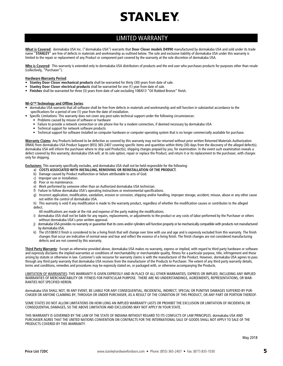### LIMITED WARRANTY

**What is Covered**: dormakaba USA Inc. ("dormakaba USA") warrants that **Door Closer models D4990** manufactured by dormakaba USA and sold under its trade name "**STANLEY**" are free of defects in materials and workmanship as outlined below. The sole and exclusive liability of dormakaba USA under this warranty is limited to the repair or replacement of any Product or component part covered by the warranty at the sole discretion of dormakaba USA.

Who is Covered: This warranty is extended only to dormakaba USA distributors of products and the end user who purchases products for purposes other than resale (collectively, "Purchaser").

#### **Hardware Warranty Period**:

- **Stanley Door Closer mechanical products** shall be warranted for thirty (30) years from date of sale.
- **Stanley Door Closer electrical products** shall be warranted for one (1) year from date of sale.
- **Finishes** shall be warranted for three (3) years from date of sale excluding 10B/613 "Oil Rubbed Bronze" finish.

#### **Wi-Q™ Technology and Offline Series**:

- dormakaba USA warrants that all software shall be free from defects in materials and workmanship and will function in substantial accordance to the specifications for a period of one (1) year from the date of installation.
- Specific Limitations: This warranty does not cover any post-sales technical support under the following circumstances:
	- Problems caused by misuse of software or hardware
	- Failure to provide a network connection or site phone line for a modem connection, if deemed necessary by dormakaba USA
	- Technical support for network software products
	- Technical support for software installed on computer hardware or computer operating system that is no longer commercially available for purchase.

**Warranty Claims**: Any Products believed to be defective as covered by this warranty may not be returned without prior written Returned Materials Authorization (RMA) from dormakaba USA Product Support (855) 365-2407 covering specific items and quantities within thirty (30) days from the discovery of the alleged defect(s). dormakaba USA will inform the purchaser where to ship said Product(s), shipping charges prepaid by you, for examination. In the event such examination reveals a defect covered by this warranty; dormakaba USA will, at its sole option, repair or replace the Product, and return it or its replacement to the purchaser, with charges only for shipping.

**Exclusions:** This warranty specifically excludes, and dormakaba USA shall not be held responsible for the following:

- a) COSTS ASSOCIATED WITH INSTALLING, REMOVING OR REINSTALLATION OF THE PRODUCT.
- b) Damage caused by Product malfunction or failure attributable to acts of God.
- c) Improper use or installation.
- d) Poor or no maintenance.
- e) Work performed by someone other than an Authorized dormakaba USA technician.
- f) Failure to follow dormakaba USA's operating instructions or environmental specifications.
- g) Incorrect application, modification, vandalism, erosion or corrosion, shipping and/or handling, improper storage, accident, misuse, abuse or any other cause not within the control of dormakaba USA.
- h) This warranty is void if any modification is made to the warranty product, regardless of whether the modification causes or contributes to the alleged defect.
- All modifications are made at the risk and expense of the party making the modifications.
- i) dormakaba USA shall not be liable for any repairs, replacements, or adjustments to the product or any costs of labor performed by the Purchaser or others without dormakaba USA's prior written approval.
- j) dormakaba USA provides no warranty or guarantee that its cores and/or cylinders will function properly or be mechanically compatible with products not manufactured by dormakaba USA.
- k) The US10B/613 finish is considered to be a living finish that will change over time with use and age and is expressly excluded from this warranty. The finish changes that occur are indicative of normal wear and tear and reflect the essence of a living finish. The finish changes are not considered manufacturing defects and are not covered by this warranty.

**Third Party Warranty**: Except as otherwise provided above, dormakaba USA makes no warranty, express or implied, with regard to third party hardware or software and expressly disclaims the implied warranties or conditions of merchantability or merchantable quality, fitness for a particular purpose, title, infringement and those arising by statute or otherwise in law. Customer's sole recourse for warranty claims is with the manufacturer of the Product. However, dormakaba USA agrees to pass through any third party warranty that dormakaba USA receives from the manufacturer of the Products to Purchaser. The extent of any third party warranty details, terms and conditions, remedies and procedures may be expressly stated on, or packaged with, or otherwise accompanying the Products.

LIMITATION OF WARRANTIES: THIS WARRANTY IS GIVEN EXPRESSLY AND IN PLACE OF ALL OTHER WARRANTIES, EXPRESS OR IMPLIED, INCLUDING ANY IMPLIED WARRANTIES OF MERCHANTABILITY OR FITNESS FOR PARTICULAR PURPOSE. THERE ARE NO UNDERSTANDINGS, AGREEMENTS, REPRESENTATIONS, OR WAR-RANTIES NOT SPECIFIED HEREIN.

dormakaba USA SHALL NOT, IN ANY EVENT, BE LIABLE FOR ANY CONSEQUENTIAL, INCIDENTAL, INDIRECT, SPECIAL OR PUNITIVE DAMAGES SUFFERED BY PUR-CHASER OR ANYONE CLAIMING BY, THROUGH OR UNDER PURCHASER, AS A RESULT OF THE CONDITION OF THIS PRODUCT, OR ANY PART OR PORTION THEREOF.

SOME STATES DO NOT ALLOW LIMITATIONS ON HOW LONG AN IMPLIED WARRANTY LASTS OR PROHIBIT THE EXCLUSION OR LIMITATION OF INCIDENTAL OR CONSEQUENTIAL DAMAGES, SO THE ABOVE LIMITATION AND EXCLUSIONS MAY NOT APPLY IN YOUR STATE.

THIS WARRANTY IS GOVERNED BY THE LAW OF THE STATE OF INDIANA WITHOUT REGARD TO ITS CONFLICTS OF LAW PRINCIPLES. dormakaba USA AND PURCHASER AGREE THAT THE UNITED NATIONS CONVENTION ON CONTRACTS FOR THE INTERNATIONAL SALE OF GOODS SHALL NOT APPLY TO SALE OF THE PRODUCTS COVERED BY THIS WARRANTY.

May 2018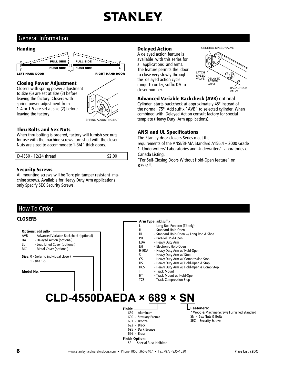### General Information

### Handing



#### Closing Power Adjustment

Closers with spring power adjustment to size (6) are set at size (3) before leaving the factory. Closers with spring power adjustment from 1-4 or 1-5 are set at size (2) before leaving the factory.



#### Thru Bolts and Sex Nuts

When thru bolting is ordered, factory will furnish sex nuts for use with the machine screws furnished with the closer Nuts are sized to accommodate 1-3/4" thick doors.

| D-4550 - 12/24 thread | \$2.00 |
|-----------------------|--------|

#### Security Screws

All mounting screws will be Torx pin tamper resistant machine screws. Available for Heavy Duty Arm applications only Specify SEC Security Screws.

### Delayed Action

A delayed action feature is available with this series for all applications and arms. The feature permits the door to close very slowly through the delayed action cycle range To order, suffix DA to closer number.





Advanced Variable Backcheck (AVB) optional

Cylinder starts backcheck at approximately 45º instead of the normal 75º Add suffix "AVB" to selected cylinder. When combined with Delayed Action consult factory for special template (Heavy Duty Arm applications).

### ANSI and UL Specifications

The Stanley door closers Series meet the

requirements of the ANSI/BHMA Standard A156.4 – 2000 Grade 1. Underwriters' Laboratories and Underwriters' Laboratories of Canada Listing.

"For Self-Closing Doors Without Hold-Open feature" on R7551®.

### How To Order

#### **Options: add suffix** AVB - Advanced Variable Backcheck (optional) DA - Delayed Action (optional) LL - Lead Lined Cover (optional) MC - Metal Cover (optional) **Fasteners:**  Size: 0 - (refer to individual closer) 1 - size 1-5 Model No. **CLOSERS** Arm Type: add suffix L - Long Rod Forearm (TJ only)<br>H - Standard Hold-Open - Standard Hold-Open HL - Standard Hold-Open w/ Long Rod & Shoe PH - Parallel Hold-Open EDA - Heavy Duty Arm EH - Electronic Hold-Open<br>H-EDA - Heavy Duty Arm w/ H - Heavy Duty Arm w/ Hold-Open S - Heavy Duty Arm w/ Stop<br>CS - Heavy Duty Arm w/ Comp - Heavy Duty Arm w/ Compression Stop HS - Heavy Duty Arm w/ Hold-Open & Stop<br>HCS - Heavy Duty Arm w/ Hold-Open & Comp - Heavy Duty Arm w/ Hold-Open & Comp Stop T - Track Mount HT - Track Mount w/ Hold-Open<br>TCS - Track Compression Stop - Track Compression Stop **CLD-4550DAEDA × 689 × SN**  Finish: 689 - Aluminum 690 - Statuary Bronze 691 - Bronze 693 - Black 695 - Dark Bronze 696 - Brass Finish Option: SRI - Special Rust Inhibitor \* Wood & Machine Screws Furnished Standard SN - Sex Nuts & Bolts SEC - Security Screws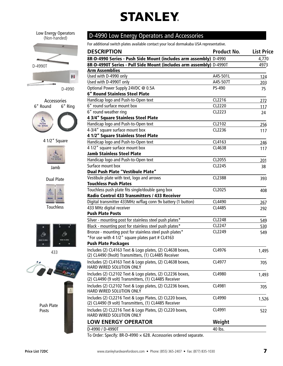Low Energy Operators (Non-handed)





4 1/2" Square



Jamb



Touchless



433





### D-4990 Low Energy Operators and Accessories

For additional switch plates available contact your local dormakaba USA representative.

| <b>DESCRIPTION</b>                                                                                                | <b>Product No.</b> | <b>List Price</b> |
|-------------------------------------------------------------------------------------------------------------------|--------------------|-------------------|
| 8R-D-4990 Series - Push Side Mount (includes arm assembly) D-4990                                                 |                    | 4,770             |
| 8R-D-4990T Series - Pull Side Mount (includes arm assembly) D-4990T                                               |                    | 4973              |
| <b>Arm Assemblies</b>                                                                                             |                    |                   |
| Used with D-4990 only                                                                                             | A45-501L           | 124               |
| Used with D-4990T only                                                                                            | A45-507T           | 203               |
| Optional Power Supply 24VDC @ 0.5A                                                                                | PS-490             | 75                |
| <b>6" Round Stainless Steel Plate</b>                                                                             |                    |                   |
| Handicap logo and Push-to-Open text                                                                               | CL2216             | 272               |
| 6" round surface mount box                                                                                        | CL2220             | 117               |
| 6" round weather ring                                                                                             | CL2223             | 24                |
| 4 3/4" Square Stainless Steel Plate                                                                               |                    |                   |
| Handicap logo and Push-to-Open text                                                                               | CL2102             | 256               |
| 4-3/4" square surface mount box                                                                                   | CL2236             | 117               |
| 4 1/2" Square Stainless Steel Plate                                                                               |                    |                   |
| Handicap logo and Push-to-Open text                                                                               | CL4163             | 246               |
| 4 1/2" square surface mount box                                                                                   | CL4638             | 117               |
| <b>Jamb Stainless Steel Plate</b>                                                                                 |                    |                   |
| Handicap logo and Push-to-Open text                                                                               | CL2055             | 201               |
| Surface mount box                                                                                                 | CL2245             | 38                |
| Dual Push Plate "Vestibule Plate"                                                                                 |                    |                   |
| Vestibule plate with text, logo and arrows                                                                        | CL2388             | 393               |
| <b>Touchless Push Plates</b>                                                                                      |                    |                   |
| Touchless push plate fits single/double gang box                                                                  | CL2025             | 408               |
| Radio Control 433 Transmitters / 433 Receiver                                                                     |                    |                   |
| Digital transmitter 433MHz w/flag conn 9v battery (1 button)                                                      | CL4490             | 267               |
| 433 MHz digital receiver                                                                                          | CL4485             | 292               |
| <b>Push Plate Posts</b>                                                                                           |                    |                   |
| Silver - mounting post for stainless steel push plates*                                                           | CL2248             | 549               |
| Black - mounting post for stainless steel push plates*                                                            | CL2247             | 530               |
| Bronze - mounting post for stainless steel push plates*                                                           | CL2249             | 549               |
| *For use with 4 1/2" square plates part # CL4163                                                                  |                    |                   |
| <b>Push Plate Packages</b>                                                                                        |                    |                   |
| Includes (2) CL4163 Text & Logo plates, (2) CL4638 boxes,                                                         | CL4976             | 1,495             |
| (2) CL4490 (9volt) Transmitters, (1) CL4485 Receiver                                                              |                    |                   |
| Includes (2) CL4163 Text & Logo plates, (2) CL4638 boxes,<br>HARD WIRED SOLUTION ONLY                             | CL4977             | 705               |
| Includes (2) CL2102 Text & Logo plates, (2) CL2236 boxes,                                                         | CL4980             | 1,493             |
| (2) CL4490 (9 volt) Transmitters, (1) CL4485 Receiver                                                             |                    |                   |
| Includes (2) CL2102 Text & Logo plates, (2) CL2236 boxes,<br>HARD WIRED SOLUTION ONLY                             | CL4981             | 705               |
| Includes (2) CL2216 Text & Logo Plates, (2) CL220 boxes,<br>(2) CL4490 (9 volt) Transmitters, (1) CL4485 Receiver | CL4990             | 1,526             |
| Includes (2) CL2216 Text & Logo Plates, (2) CL220 boxes,<br>HARD WIRED SOLUTION ONLY                              | CL4991             | 522               |
| <b>LOW ENERGY OPERATOR</b>                                                                                        | Weight             |                   |
| D-4990 / D-4990T                                                                                                  | 40 lbs.            |                   |
| To Order: Specify: 8R-D-4990 $\times$ 628. Accessories ordered separate.                                          |                    |                   |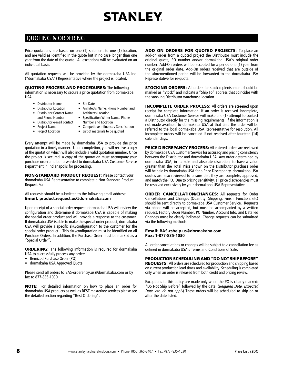### QUOTING & ORDERING

Price quotations are based on one (1) shipment to one (1) location, and are valid as identified in the quote but in no case longer than one year from the date of the quote. All exceptions will be evaluated on an individual basis.

All quotation requests will be provided by the dormakaba USA Inc. ("dormakaba USA") Representative where the project is located.

QUOTING PROCESS AND PROCEDURES: The following information is necessary to secure a price quotation from dormakaba USA.

- Distributor Name • Bid Date
- Distributor Location
- Architects Name, Phone Number and Architects Location
- Distributor Contact Name and Phone Number
- Specification Writer Name, Phone Number and Location
- Distributor e-mail contact • Project Name • Project Location
- Competitive Influence / Specification
- List of materials to be quoted

Every attempt will be made by dormakaba USA to provide the price quotation in a timely manner. Upon completion, you will receive a copy of the quotation which will also include a valid quotation number. Once the project is secured, a copy of the quotation must accompany your purchase order and be forwarded to dormakaba USA Customer Service Department in Indianapolis for processing.

NON-STANDARD PRODUCT REQUEST: Please contact your dormakaba USA Representative to complete a Non-Standard Product Request Form.

All requests should be submitted to the following email address: Email: **product.request.us@dormakaba.com**

Upon receipt of a special order request, dormakaba USA will review the configuration and determine if dormakaba USA is capable of making the special order product and will provide a response to the customer. If dormakaba USA is able to make the special order product, dormakaba USA will provide a specific sku/configuration to the customer for the special order product. This sku/configuration must be identified on all Purchase Orders. In addition, the Purchase Order must be marked as a "Special Order".

**ORDERING:** The following information is required for dormakaba USA to successfully process any order:

- Itemized Purchase Order (PO)
- dormakaba USA Approved Quote

Please send all orders to BAS-orderentry.us@dormakaba.com or by fax to 877-835-1030

NOTE: For detailed information on how to place an order for dormakaba USA products as well as BEST masterkey services please see the detailed section regarding "Best Ordering".

ADD ON ORDERS FOR QUOTED PROJECTS: To place an add-on order from a quoted project the Distributor must include the original quote, PO number and/or dormakaba USA's original order number. Add-On orders will be accepted for a period one (1) year from the original order date. Add-On orders received that are outside of the aforementioned period will be forwarded to the dormakaba USA Representative for re-quote.

STOCKING ORDERS: All orders for stock replenishment should be marked as "Stock" and indicate a "Ship To" address that coincides with the stocking Distributor warehouse location.

INCOMPLETE ORDER PROCESS: All orders are screened upon receipt for complete information. If an order is received incomplete, dormakaba USA Customer Service will make one (1) attempt to contact a Distributor directly for the missing requirements. If the information is not made available to dormakaba USA at that time the order will be referred to the local dormakaba USA Representative for resolution. All incomplete orders will be cancelled if not resolved after fourteen (14) calendar days.

PRICE DISCREPANCY PROCESS: All entered orders are reviewed by dormakaba USA Customer Service for accuracy and pricing consistency between the Distributor and dormakaba USA. Any order determined by dormakaba USA, in its sole and absolute discretion, to have a value greater than the Total Price shown on the Distributor purchase order will be held by dormakaba USA for a Price Discrepancy. dormakaba USA quotes are also reviewed to ensure that they are complete, approved, and match the PO. Due to pricing sensitivity, all price discrepancies must be resolved exclusively by your dormakaba USA Representative.

**ORDER CANCELLATION/CHANGES: All requests for Order** Cancellations and Changes (Quantity, Shipping, Finish, Function, etc) should be sent directly to dormakaba USA Customer Service. Requests via phone will be accepted, but must be accompanied by a written request. Factory Order Number, PO Number, Account Info, and Detailed Changes must be clearly indicated. Change requests can be submitted via the following methods:

#### Email: **BAS-cshelp.us@dormakaba.com**  Fax: **1-877-835-1030**

All order cancellations or changes will be subject to a cancellation fee as defined in dormakaba USA's Terms and Conditions of Sale.

#### PRODUCTION SCHEDULING AND "DO NOT SHIP BEFORE"

REQUESTS: All orders are scheduled for production and shipping based on current production lead times and availability. Scheduling is completed only when an order is released from both credit and pricing review.

Exceptions to this policy are made only when the PO is clearly marked: "Do Not Ship Before" followed by the date. (Required Date, Expected Date, etc. do not apply) These orders will be scheduled to ship on or after the date listed.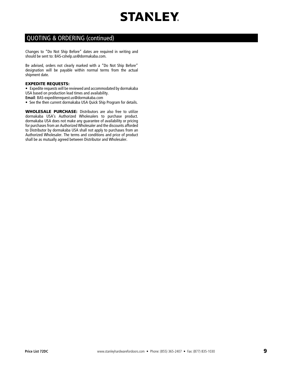

### QUOTING & ORDERING (continued)

Changes to "Do Not Ship Before" dates are required in writing and should be sent to: BAS-cshelp.us@dormakaba.com.

Be advised, orders not clearly marked with a "Do Not Ship Before" designation will be payable within normal terms from the actual shipment date.

#### EXPEDITE REQUESTS:

• Expedite requests will be reviewed and accommodated by dormakaba USA based on production lead times and availability.

- **Email**: BAS-expediterequest.us@dormakaba.com
- See the then current dormakaba USA Quick Ship Program for details.

WHOLESALE PURCHASE: Distributors are also free to utilize dormakaba USA's Authorized Wholesalers to purchase product. dormakaba USA does not make any guarantee of availability or pricing for purchases from an Authorized Wholesaler and the discounts afforded to Distributor by dormakaba USA shall not apply to purchases from an Authorized Wholesaler. The terms and conditions and price of product shall be as mutually agreed between Distributor and Wholesaler.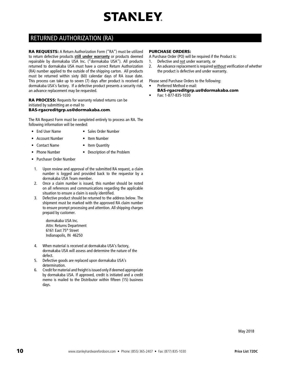### RETURNED AUTHORIZATION (RA)

RA REQUESTS: A Return Authorization Form ("RA") must be utilized to return defective products **still under warranty** or products deemed repairable by dormakaba USA Inc. ("dormakaba USA"). All products returned to dormakaba USA must have a correct Return Authorization (RA) number applied to the outside of the shipping carton. All products must be returned within sixty (60) calendar days of RA issue date. This process can take up to seven (7) days after product is received at dormakaba USA's factory. If a defective product presents a security risk, an advance replacement may be requested.

RA PROCESS: Requests for warranty related returns can be initiated by submitting an e-mail to

#### BAS-rgacreditgrp.us@dormakaba.com.

The RA Request Form must be completed entirely to process an RA. The following information will be needed:

- End User Name Sales Order Number
- Account Number Item Number
	-
- Contact Name Item Quantity
- Phone Number Description of the Problem
- Purchaser Order Number
- 1. Upon review and approval of the submitted RA request, a claim number is logged and provided back to the requestor by a dormakaba USA Team member.
- 2. Once a claim number is issued, this number should be noted on all references and communications regarding the applicable situation to ensure a claim is easily identified.
- 3. Defective product should be returned to the address below. The shipment must be marked with the approved RA claim number to ensure prompt processing and attention. All shipping charges prepaid by customer.

dormakaba USA Inc. Attn: Returns Department 6161 East 75th Street Indianapolis, IN 46250

- 4. When material is received at dormakaba USA's factory, dormakaba USA will assess and determine the nature of the defect.
- 5. Defective goods are replaced upon dormakaba USA's determination.
- 6. Credit for material and freight is issued only if deemed appropriate by dormakaba USA. If approved, credit is initiated and a credit memo is mailed to the Distributor within fifteen (15) business days.

#### PURCHASE ORDERS:

A Purchase Order (PO) will be required if the Product is:

- 1. Defective and not under warranty, or
- 2. An advance replacement is required without verification of whether the product is defective and under warranty.

Please send Purchase Orders to the following:

- Preferred Method e-mail:
	- BAS-rgacreditgrp.us@dormakaba.com
- Fax: 1-877-835-1030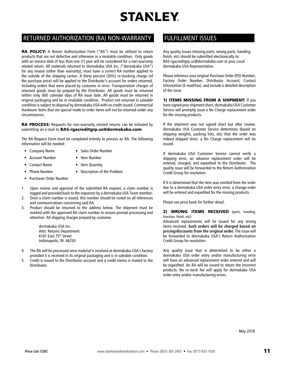### RETURNED AUTHORIZATION (RA) NON-WARRANTY FULFILLMENT ISSUES

RA POLICY: A Return Authorization Form ("RA") must be utilized to return products that are not defective and otherwise in a resalable condition. Only goods with an invoice date of less than one (1) year will be considered for a non-warranty related return. All materials returned to dormakaba USA Inc. ("dormakaba USA") for any reason (other than warranty), must have a correct RA number applied to the outside of the shipping carton. A thirty percent (30%) re-stocking charge (of the purchase price) will be applied to the Distributor's account for orders returned, including orders that were placed by customer in error. Transportation charges of returned goods must be prepaid by the Distributor. All goods must be returned within sixty (60) calendar days of RA issue date. All goods must be returned in original packaging and be in resalable condition. Product not returned in saleable condition is subject to disposal by dormakaba USA with no credit issued. Commercial Hardware items that are special made to order items will not be returned under any circumstances.

RA PROCESS: Requests for non-warranty related returns can be initiated by submitting an e-mail to BAS-rgacreditgrp.us@dormakaba.com.

The RA Request Form must be completed entirely to process an RA. The following information will be needed:

- Company Name Sales Order Number
- Account Number Item Number
- Contact Name Item Quantity
- Phone Number Description of the Problem
- Purchaser Order Number
- 1. Upon review and approval of the submitted RA request, a claim number is logged and provided back to the requestor by a dormakaba USA Team member:
- 2. Once a claim number is issued, this number should be noted on all references and communications concerning said RA.
- 3. Product should be returned to the address below. The shipment must be marked with the approved RA claim number to ensure prompt processing and attention. All shipping charges prepaid by customer.

dormakaba USA Inc. Attn: Returns Department 6161 East 75th Street Indianapolis, IN 46250

- 4. The RA will be processed once material is received at dormakaba USA's factory provided it is received in its original packaging and is in saleable condition.
- 5. Credit is issued to the Distributor account and a credit memo is mailed to the Distributor.

Any quality issues (missing parts, wrong parts, handing, finish, etc) should be submitted electronically to: BAS-rgacreditgrp.us@dormakaba.com or your Local dormakaba USA Representative.

Please reference your original Purchase Order (PO) Number, Factory Order Number, Distributor Account, Contact Information (E-mail/Fax), and include a detailed description of the issue.

1) ITEMS MISSING FROM A SHIPMENT: If you have signed your shipment short, dormakaba USA Customer Service will promptly issue a No Charge replacement order for the missing products.

If the shipment was not signed short but after review, dormakaba USA Customer Service determines (based on shipping weights, packing lists, etc) that the order was indeed shipped short, a No Charge replacement will be issued.

If dormakaba USA Customer Service cannot verify a shipping error, an advance replacement order will be entered, charged, and expedited to the Distributor. The quality issue will be forwarded to the Return Authorization Credit Group for resolution.

If it is determined that the item was omitted from the order due to a dormakaba USA order entry error, a change order will be entered and expedited for the missing products.

Please see price book for further detail.

2) **WRONG ITEMS RECEIVED** (parts, handing, function, finish, etc):

Advanced replacements will be issued for any wrong items received. **Such orders will be charged based on pricing/discounts from the original order.** The issue will be forwarded to dormakaba USA's Return Authorization Credit Group for resolution.

Any quality issue that is determined to be either a dormakaba USA order entry and/or manufacturing error will have an advanced replacement order entered and will be expedited. An RA will be issued to return the incorrect products. No re-stock fee will apply for dormakaba USA order entry and/or manufacturing errors.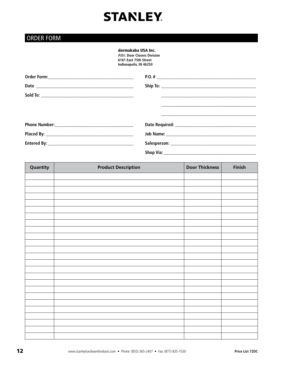### ORDER FORM

### dormakaba USA Inc.

Attn: **Door Closers Division 6161 East 75th Street Indianapolis, IN 46250** 

| Quantity | <b>Product Description</b> | Door Thickness | Finish |
|----------|----------------------------|----------------|--------|
|          |                            |                |        |
|          |                            |                |        |
|          |                            |                |        |
|          |                            |                |        |
|          |                            |                |        |
|          |                            |                |        |
|          |                            |                |        |
|          |                            |                |        |
|          |                            |                |        |
|          |                            |                |        |
|          |                            |                |        |
|          |                            |                |        |
|          |                            |                |        |
|          |                            |                |        |
|          |                            |                |        |
|          |                            |                |        |
|          |                            |                |        |
|          |                            |                |        |
|          |                            |                |        |
|          |                            |                |        |
|          |                            |                |        |
|          |                            |                |        |
|          |                            |                |        |
|          |                            |                |        |
|          |                            |                |        |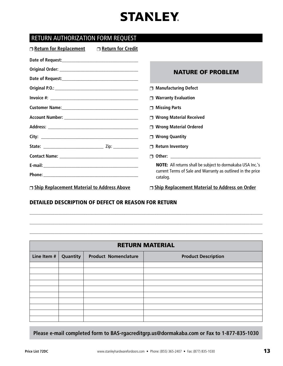### RETURN AUTHORIZATION FORM REQUEST

| □ Return for Credit<br><b>O</b> Return for Replacement |                                                                         |
|--------------------------------------------------------|-------------------------------------------------------------------------|
|                                                        |                                                                         |
|                                                        | <b>NATURE OF PROBLEM</b>                                                |
|                                                        |                                                                         |
|                                                        | <b>Manufacturing Defect</b>                                             |
|                                                        | <b>Warranty Evaluation</b>                                              |
|                                                        | <b>Missing Parts</b>                                                    |
|                                                        | <b>Wrong Material Received</b>                                          |
|                                                        | <b>Wrong Material Ordered</b>                                           |
|                                                        | <b>Wrong Quantity</b>                                                   |
|                                                        | <b>Return Inventory</b><br>$\Box$                                       |
|                                                        |                                                                         |
|                                                        | <b>NOTE:</b> All returns shall be subject to dormakaba USA Inc.'s       |
|                                                        | current Terms of Sale and Warranty as outlined in the price<br>catalog. |
| □ Ship Replacement Material to Address Above           | □ Ship Replacement Material to Address on Order                         |

### DETAILED DESCRIPTION OF DEFECT OR REASON FOR RETURN

| <b>RETURN MATERIAL</b> |          |                             |                            |
|------------------------|----------|-----------------------------|----------------------------|
| Line Item #            | Quantity | <b>Product Nomenclature</b> | <b>Product Description</b> |
|                        |          |                             |                            |
|                        |          |                             |                            |
|                        |          |                             |                            |
|                        |          |                             |                            |
|                        |          |                             |                            |
|                        |          |                             |                            |
|                        |          |                             |                            |
|                        |          |                             |                            |
|                        |          |                             |                            |
|                        |          |                             |                            |

\_\_\_\_\_\_\_\_\_\_\_\_\_\_\_\_\_\_\_\_\_\_\_\_\_\_\_\_\_\_\_\_\_\_\_\_\_\_\_\_\_\_\_\_\_\_\_\_\_\_\_\_\_\_\_\_\_\_\_\_\_\_\_\_\_\_\_\_\_\_\_\_\_\_\_\_\_\_\_\_\_\_\_\_\_\_\_\_\_\_\_\_\_\_\_\_\_\_\_\_\_\_\_\_\_\_\_\_\_\_\_\_

\_\_\_\_\_\_\_\_\_\_\_\_\_\_\_\_\_\_\_\_\_\_\_\_\_\_\_\_\_\_\_\_\_\_\_\_\_\_\_\_\_\_\_\_\_\_\_\_\_\_\_\_\_\_\_\_\_\_\_\_\_\_\_\_\_\_\_\_\_\_\_\_\_\_\_\_\_\_\_\_\_\_\_\_\_\_\_\_\_\_\_\_\_\_\_\_\_\_\_\_\_\_\_\_\_\_\_\_\_\_\_\_

\_\_\_\_\_\_\_\_\_\_\_\_\_\_\_\_\_\_\_\_\_\_\_\_\_\_\_\_\_\_\_\_\_\_\_\_\_\_\_\_\_\_\_\_\_\_\_\_\_\_\_\_\_\_\_\_\_\_\_\_\_\_\_\_\_\_\_\_\_\_\_\_\_\_\_\_\_\_\_\_\_\_\_\_\_\_\_\_\_\_\_\_\_\_\_\_\_\_\_\_\_\_\_\_\_\_\_\_\_\_\_\_

**Please e-mail completed form to BAS-rgacreditgrp.us@dormakaba.com or Fax to 1-877-835-1030**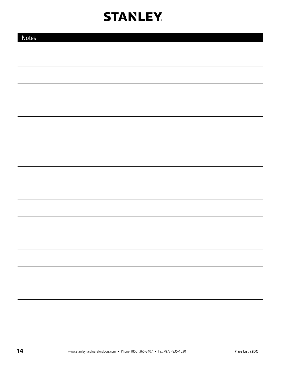| <b>Notes</b> |  |  |
|--------------|--|--|
|              |  |  |
|              |  |  |
|              |  |  |
|              |  |  |
|              |  |  |
|              |  |  |
|              |  |  |
|              |  |  |
|              |  |  |
|              |  |  |
|              |  |  |
|              |  |  |
|              |  |  |
|              |  |  |
|              |  |  |
|              |  |  |
|              |  |  |
|              |  |  |
|              |  |  |
|              |  |  |
|              |  |  |
|              |  |  |
|              |  |  |
|              |  |  |
|              |  |  |
|              |  |  |
|              |  |  |
|              |  |  |
|              |  |  |
|              |  |  |
|              |  |  |
|              |  |  |
|              |  |  |
|              |  |  |
|              |  |  |
|              |  |  |
|              |  |  |
|              |  |  |
|              |  |  |
|              |  |  |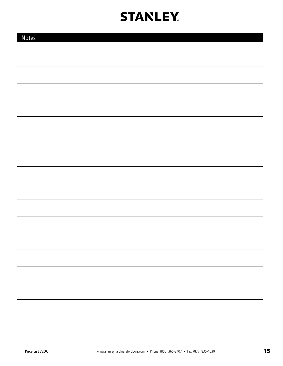| <b>Notes</b> |  |
|--------------|--|
|              |  |
|              |  |
|              |  |
|              |  |
|              |  |
|              |  |
|              |  |
|              |  |
|              |  |
|              |  |
|              |  |
|              |  |
|              |  |
|              |  |
|              |  |
|              |  |
|              |  |
|              |  |
|              |  |
|              |  |
|              |  |
|              |  |
|              |  |
|              |  |
|              |  |
|              |  |